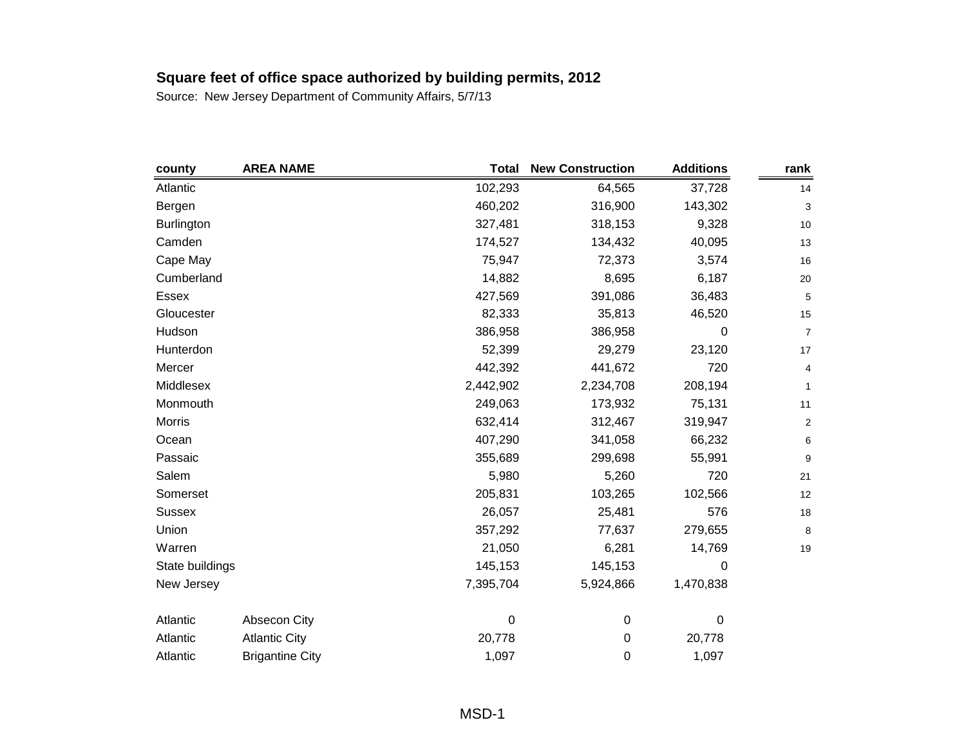| county            | <b>AREA NAME</b>       | <b>Total</b> | <b>New Construction</b> | <b>Additions</b> | rank                    |
|-------------------|------------------------|--------------|-------------------------|------------------|-------------------------|
| Atlantic          |                        | 102,293      | 64,565                  | 37,728           | 14                      |
| Bergen            |                        | 460,202      | 316,900                 | 143,302          | 3                       |
| <b>Burlington</b> |                        | 327,481      | 318,153                 | 9,328            | $10$                    |
| Camden            |                        | 174,527      | 134,432                 | 40,095           | 13                      |
| Cape May          |                        | 75,947       | 72,373                  | 3,574            | 16                      |
| Cumberland        |                        | 14,882       | 8,695                   | 6,187            | 20                      |
| <b>Essex</b>      |                        | 427,569      | 391,086                 | 36,483           | 5                       |
| Gloucester        |                        | 82,333       | 35,813                  | 46,520           | 15                      |
| Hudson            |                        | 386,958      | 386,958                 | 0                | $\overline{7}$          |
| Hunterdon         |                        | 52,399       | 29,279                  | 23,120           | 17                      |
| Mercer            |                        | 442,392      | 441,672                 | 720              | 4                       |
| Middlesex         |                        | 2,442,902    | 2,234,708               | 208,194          | $\mathbf{1}$            |
| Monmouth          |                        | 249,063      | 173,932                 | 75,131           | 11                      |
| <b>Morris</b>     |                        | 632,414      | 312,467                 | 319,947          | $\overline{\mathbf{c}}$ |
| Ocean             |                        | 407,290      | 341,058                 | 66,232           | 6                       |
| Passaic           |                        | 355,689      | 299,698                 | 55,991           | 9                       |
| Salem             |                        | 5,980        | 5,260                   | 720              | 21                      |
| Somerset          |                        | 205,831      | 103,265                 | 102,566          | 12                      |
| <b>Sussex</b>     |                        | 26,057       | 25,481                  | 576              | 18                      |
| Union             |                        | 357,292      | 77,637                  | 279,655          | 8                       |
| Warren            |                        | 21,050       | 6,281                   | 14,769           | 19                      |
| State buildings   |                        | 145,153      | 145,153                 | 0                |                         |
| New Jersey        |                        | 7,395,704    | 5,924,866               | 1,470,838        |                         |
| Atlantic          | Absecon City           | 0            | $\pmb{0}$               | 0                |                         |
| Atlantic          | <b>Atlantic City</b>   | 20,778       | 0                       | 20,778           |                         |
| Atlantic          | <b>Brigantine City</b> | 1,097        | 0                       | 1,097            |                         |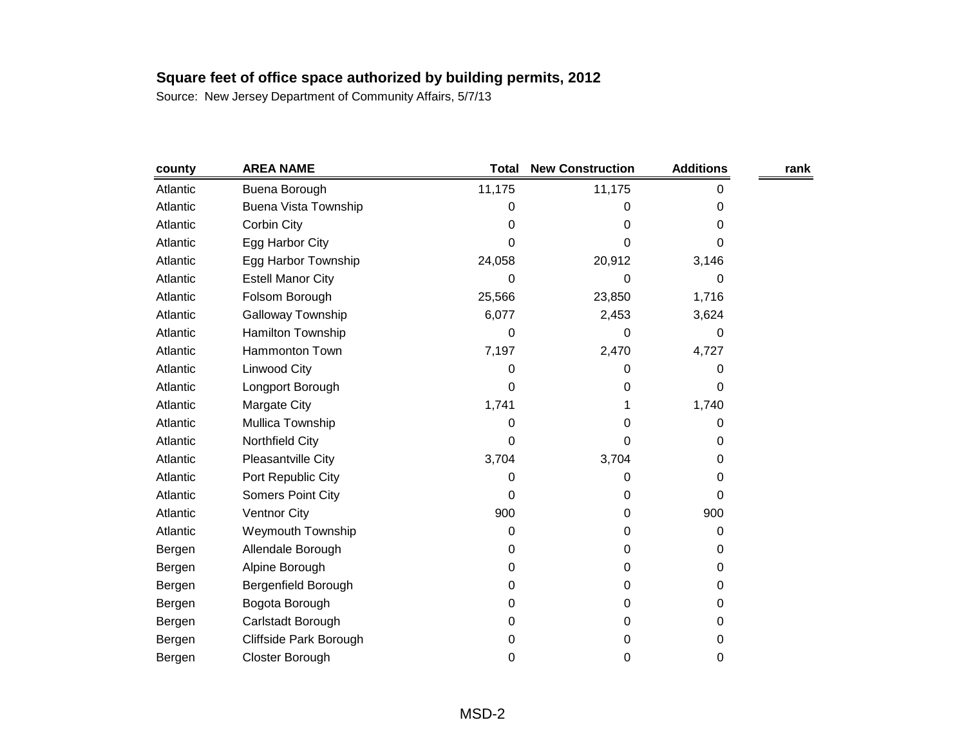| county   | <b>AREA NAME</b>            | <b>Total</b> | <b>New Construction</b> | <b>Additions</b> | rank |
|----------|-----------------------------|--------------|-------------------------|------------------|------|
| Atlantic | Buena Borough               | 11,175       | 11,175                  | 0                |      |
| Atlantic | <b>Buena Vista Township</b> | 0            | 0                       | 0                |      |
| Atlantic | Corbin City                 | 0            | 0                       | 0                |      |
| Atlantic | Egg Harbor City             | 0            | 0                       | 0                |      |
| Atlantic | Egg Harbor Township         | 24,058       | 20,912                  | 3,146            |      |
| Atlantic | <b>Estell Manor City</b>    | 0            | 0                       | 0                |      |
| Atlantic | Folsom Borough              | 25,566       | 23,850                  | 1,716            |      |
| Atlantic | <b>Galloway Township</b>    | 6,077        | 2,453                   | 3,624            |      |
| Atlantic | Hamilton Township           | 0            | 0                       | 0                |      |
| Atlantic | Hammonton Town              | 7,197        | 2,470                   | 4,727            |      |
| Atlantic | Linwood City                | 0            | 0                       | 0                |      |
| Atlantic | Longport Borough            | 0            | 0                       | 0                |      |
| Atlantic | Margate City                | 1,741        | 1                       | 1,740            |      |
| Atlantic | Mullica Township            | 0            | 0                       | 0                |      |
| Atlantic | Northfield City             | 0            | 0                       | 0                |      |
| Atlantic | Pleasantville City          | 3,704        | 3,704                   | 0                |      |
| Atlantic | Port Republic City          | 0            | 0                       | 0                |      |
| Atlantic | Somers Point City           | 0            | 0                       | 0                |      |
| Atlantic | <b>Ventnor City</b>         | 900          | 0                       | 900              |      |
| Atlantic | <b>Weymouth Township</b>    | 0            | 0                       | 0                |      |
| Bergen   | Allendale Borough           | 0            | 0                       | 0                |      |
| Bergen   | Alpine Borough              | 0            | 0                       | 0                |      |
| Bergen   | Bergenfield Borough         | 0            | 0                       | 0                |      |
| Bergen   | Bogota Borough              | 0            | 0                       | 0                |      |
| Bergen   | Carlstadt Borough           | 0            | 0                       | 0                |      |
| Bergen   | Cliffside Park Borough      | 0            | 0                       | 0                |      |
| Bergen   | Closter Borough             | 0            | 0                       | 0                |      |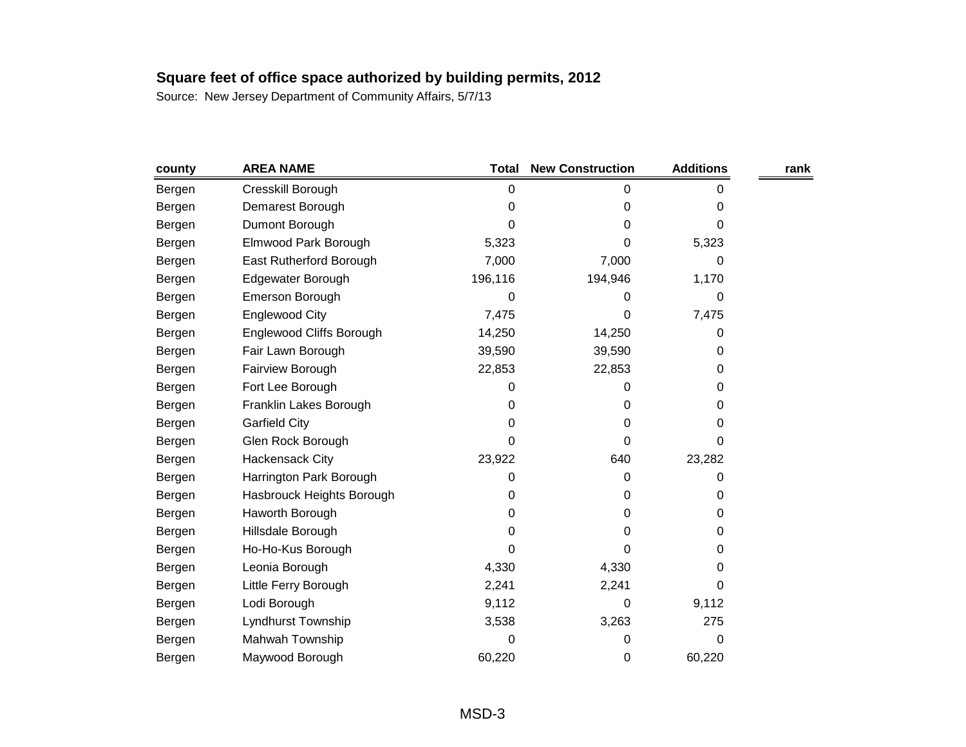| county | <b>AREA NAME</b>          | <b>Total</b> | <b>New Construction</b> | <b>Additions</b> | rank |
|--------|---------------------------|--------------|-------------------------|------------------|------|
| Bergen | Cresskill Borough         | 0            | 0                       | 0                |      |
| Bergen | Demarest Borough          | 0            | 0                       | 0                |      |
| Bergen | Dumont Borough            | O            | 0                       | 0                |      |
| Bergen | Elmwood Park Borough      | 5,323        | 0                       | 5,323            |      |
| Bergen | East Rutherford Borough   | 7,000        | 7,000                   | 0                |      |
| Bergen | Edgewater Borough         | 196,116      | 194,946                 | 1,170            |      |
| Bergen | <b>Emerson Borough</b>    | 0            | 0                       | 0                |      |
| Bergen | Englewood City            | 7,475        | 0                       | 7,475            |      |
| Bergen | Englewood Cliffs Borough  | 14,250       | 14,250                  | 0                |      |
| Bergen | Fair Lawn Borough         | 39,590       | 39,590                  | 0                |      |
| Bergen | Fairview Borough          | 22,853       | 22,853                  | 0                |      |
| Bergen | Fort Lee Borough          | 0            | 0                       | 0                |      |
| Bergen | Franklin Lakes Borough    | 0            | 0                       | 0                |      |
| Bergen | <b>Garfield City</b>      | 0            | 0                       | 0                |      |
| Bergen | Glen Rock Borough         | 0            | 0                       | 0                |      |
| Bergen | Hackensack City           | 23,922       | 640                     | 23,282           |      |
| Bergen | Harrington Park Borough   | 0            | 0                       | 0                |      |
| Bergen | Hasbrouck Heights Borough | 0            | 0                       | 0                |      |
| Bergen | Haworth Borough           | 0            | 0                       | 0                |      |
| Bergen | Hillsdale Borough         | 0            | 0                       | 0                |      |
| Bergen | Ho-Ho-Kus Borough         | 0            | 0                       | 0                |      |
| Bergen | Leonia Borough            | 4,330        | 4,330                   | 0                |      |
| Bergen | Little Ferry Borough      | 2,241        | 2,241                   | 0                |      |
| Bergen | Lodi Borough              | 9,112        | 0                       | 9,112            |      |
| Bergen | Lyndhurst Township        | 3,538        | 3,263                   | 275              |      |
| Bergen | Mahwah Township           | 0            | 0                       | 0                |      |
| Bergen | Maywood Borough           | 60,220       | 0                       | 60,220           |      |
|        |                           |              |                         |                  |      |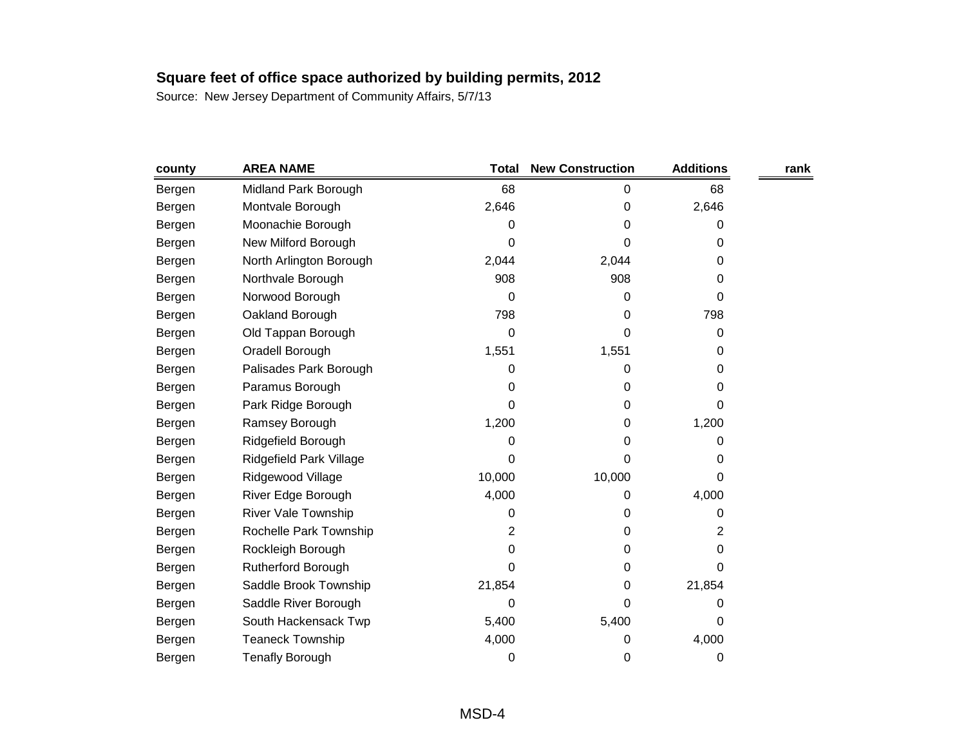| county | <b>AREA NAME</b>          | <b>Total</b> | <b>New Construction</b> | <b>Additions</b> | rank |
|--------|---------------------------|--------------|-------------------------|------------------|------|
| Bergen | Midland Park Borough      | 68           | 0                       | 68               |      |
| Bergen | Montvale Borough          | 2,646        | 0                       | 2,646            |      |
| Bergen | Moonachie Borough         | 0            | 0                       | 0                |      |
| Bergen | New Milford Borough       | 0            | 0                       | 0                |      |
| Bergen | North Arlington Borough   | 2,044        | 2,044                   | 0                |      |
| Bergen | Northvale Borough         | 908          | 908                     | 0                |      |
| Bergen | Norwood Borough           | 0            | 0                       | 0                |      |
| Bergen | Oakland Borough           | 798          | 0                       | 798              |      |
| Bergen | Old Tappan Borough        | 0            | 0                       | 0                |      |
| Bergen | Oradell Borough           | 1,551        | 1,551                   | 0                |      |
| Bergen | Palisades Park Borough    | 0            | 0                       | 0                |      |
| Bergen | Paramus Borough           | 0            | 0                       | 0                |      |
| Bergen | Park Ridge Borough        | 0            | 0                       | 0                |      |
| Bergen | Ramsey Borough            | 1,200        | 0                       | 1,200            |      |
| Bergen | Ridgefield Borough        | 0            | 0                       | 0                |      |
| Bergen | Ridgefield Park Village   | 0            | 0                       | 0                |      |
| Bergen | Ridgewood Village         | 10,000       | 10,000                  | 0                |      |
| Bergen | River Edge Borough        | 4,000        | 0                       | 4,000            |      |
| Bergen | River Vale Township       | 0            | 0                       | 0                |      |
| Bergen | Rochelle Park Township    | 2            | 0                       | 2                |      |
| Bergen | Rockleigh Borough         | 0            | 0                       | 0                |      |
| Bergen | <b>Rutherford Borough</b> | 0            | 0                       | 0                |      |
| Bergen | Saddle Brook Township     | 21,854       | 0                       | 21,854           |      |
| Bergen | Saddle River Borough      | 0            | 0                       | 0                |      |
| Bergen | South Hackensack Twp      | 5,400        | 5,400                   | 0                |      |
| Bergen | <b>Teaneck Township</b>   | 4,000        | 0                       | 4,000            |      |
| Bergen | <b>Tenafly Borough</b>    | 0            | 0                       | 0                |      |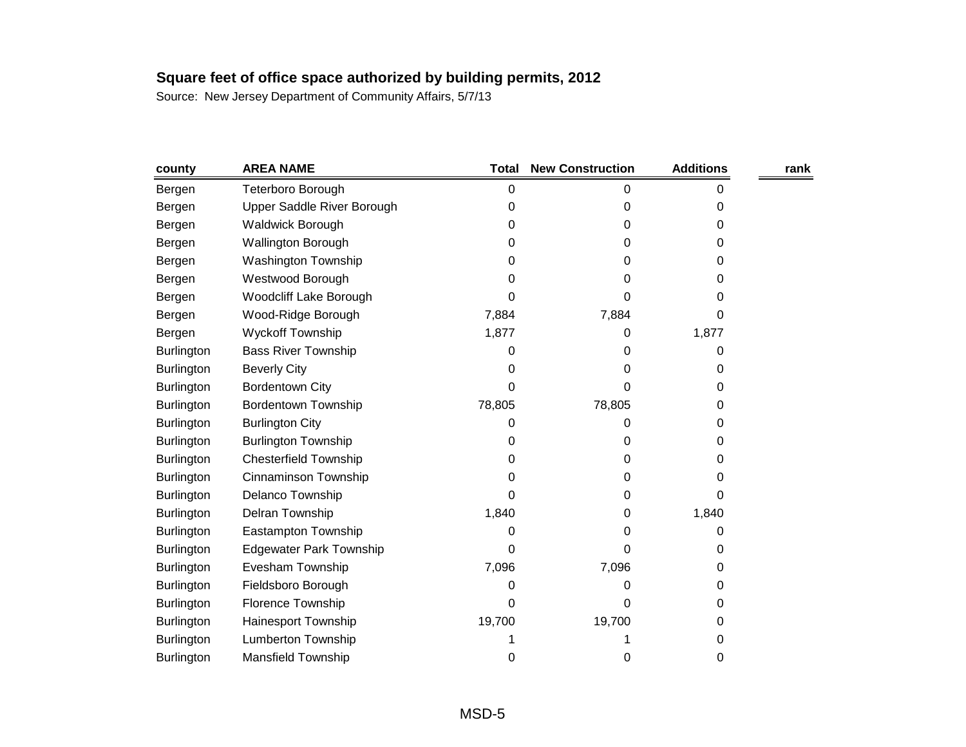| county            | <b>AREA NAME</b>               | <b>Total</b> | <b>New Construction</b> | <b>Additions</b> | rank |
|-------------------|--------------------------------|--------------|-------------------------|------------------|------|
| Bergen            | Teterboro Borough              | 0            | 0                       | 0                |      |
| Bergen            | Upper Saddle River Borough     | 0            | 0                       | 0                |      |
| Bergen            | <b>Waldwick Borough</b>        | 0            | 0                       | 0                |      |
| Bergen            | <b>Wallington Borough</b>      | 0            | 0                       | 0                |      |
| Bergen            | Washington Township            | 0            | 0                       | 0                |      |
| Bergen            | Westwood Borough               | 0            | 0                       | 0                |      |
| Bergen            | <b>Woodcliff Lake Borough</b>  | 0            | 0                       | 0                |      |
| Bergen            | Wood-Ridge Borough             | 7,884        | 7,884                   | 0                |      |
| Bergen            | <b>Wyckoff Township</b>        | 1,877        | 0                       | 1,877            |      |
| <b>Burlington</b> | <b>Bass River Township</b>     | 0            | 0                       | 0                |      |
| <b>Burlington</b> | <b>Beverly City</b>            | 0            | 0                       | 0                |      |
| <b>Burlington</b> | <b>Bordentown City</b>         | 0            | 0                       | 0                |      |
| <b>Burlington</b> | Bordentown Township            | 78,805       | 78,805                  | 0                |      |
| <b>Burlington</b> | <b>Burlington City</b>         | 0            | 0                       | 0                |      |
| <b>Burlington</b> | <b>Burlington Township</b>     | 0            | 0                       | 0                |      |
| <b>Burlington</b> | <b>Chesterfield Township</b>   | 0            | 0                       | 0                |      |
| <b>Burlington</b> | Cinnaminson Township           | 0            | 0                       | 0                |      |
| <b>Burlington</b> | Delanco Township               | 0            | 0                       | 0                |      |
| <b>Burlington</b> | Delran Township                | 1,840        | 0                       | 1,840            |      |
| <b>Burlington</b> | Eastampton Township            | 0            | 0                       | 0                |      |
| <b>Burlington</b> | <b>Edgewater Park Township</b> | 0            | 0                       | 0                |      |
| <b>Burlington</b> | Evesham Township               | 7,096        | 7,096                   | 0                |      |
| <b>Burlington</b> | Fieldsboro Borough             | 0            | 0                       | 0                |      |
| <b>Burlington</b> | Florence Township              | 0            | 0                       | 0                |      |
| <b>Burlington</b> | Hainesport Township            | 19,700       | 19,700                  | 0                |      |
| <b>Burlington</b> | Lumberton Township             |              |                         | 0                |      |
| Burlington        | <b>Mansfield Township</b>      | 0            | 0                       | 0                |      |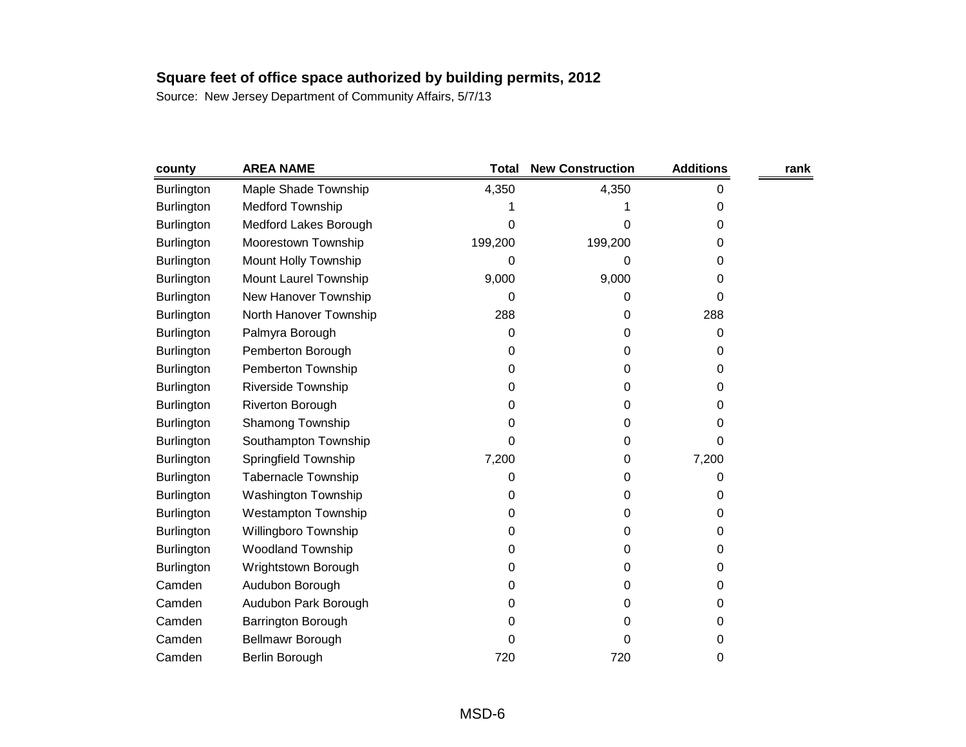| county            | <b>AREA NAME</b>            | <b>Total</b> | <b>New Construction</b> | <b>Additions</b> | rank |
|-------------------|-----------------------------|--------------|-------------------------|------------------|------|
| Burlington        | Maple Shade Township        | 4,350        | 4,350                   | 0                |      |
| <b>Burlington</b> | <b>Medford Township</b>     |              |                         | 0                |      |
| <b>Burlington</b> | Medford Lakes Borough       | 0            | 0                       | 0                |      |
| <b>Burlington</b> | Moorestown Township         | 199,200      | 199,200                 | O                |      |
| <b>Burlington</b> | <b>Mount Holly Township</b> | 0            | 0                       | 0                |      |
| <b>Burlington</b> | Mount Laurel Township       | 9,000        | 9,000                   | 0                |      |
| <b>Burlington</b> | New Hanover Township        | 0            | 0                       | 0                |      |
| <b>Burlington</b> | North Hanover Township      | 288          | 0                       | 288              |      |
| <b>Burlington</b> | Palmyra Borough             | 0            | 0                       | 0                |      |
| <b>Burlington</b> | Pemberton Borough           | 0            | 0                       | 0                |      |
| <b>Burlington</b> | Pemberton Township          | 0            | 0                       | O                |      |
| <b>Burlington</b> | Riverside Township          | 0            | 0                       | 0                |      |
| Burlington        | Riverton Borough            | 0            | 0                       | O                |      |
| <b>Burlington</b> | Shamong Township            | 0            | 0                       | O                |      |
| <b>Burlington</b> | Southampton Township        | 0            | 0                       | 0                |      |
| Burlington        | Springfield Township        | 7,200        | 0                       | 7,200            |      |
| <b>Burlington</b> | <b>Tabernacle Township</b>  | 0            | 0                       | O                |      |
| <b>Burlington</b> | <b>Washington Township</b>  | 0            | 0                       | 0                |      |
| <b>Burlington</b> | <b>Westampton Township</b>  | 0            | 0                       | 0                |      |
| <b>Burlington</b> | Willingboro Township        | 0            | 0                       | 0                |      |
| <b>Burlington</b> | <b>Woodland Township</b>    | 0            | 0                       | 0                |      |
| <b>Burlington</b> | Wrightstown Borough         | 0            | 0                       | 0                |      |
| Camden            | Audubon Borough             | 0            | 0                       | 0                |      |
| Camden            | Audubon Park Borough        | 0            | 0                       | 0                |      |
| Camden            | Barrington Borough          | 0            | 0                       | 0                |      |
| Camden            | Bellmawr Borough            | 0            | 0                       | 0                |      |
| Camden            | Berlin Borough              | 720          | 720                     | 0                |      |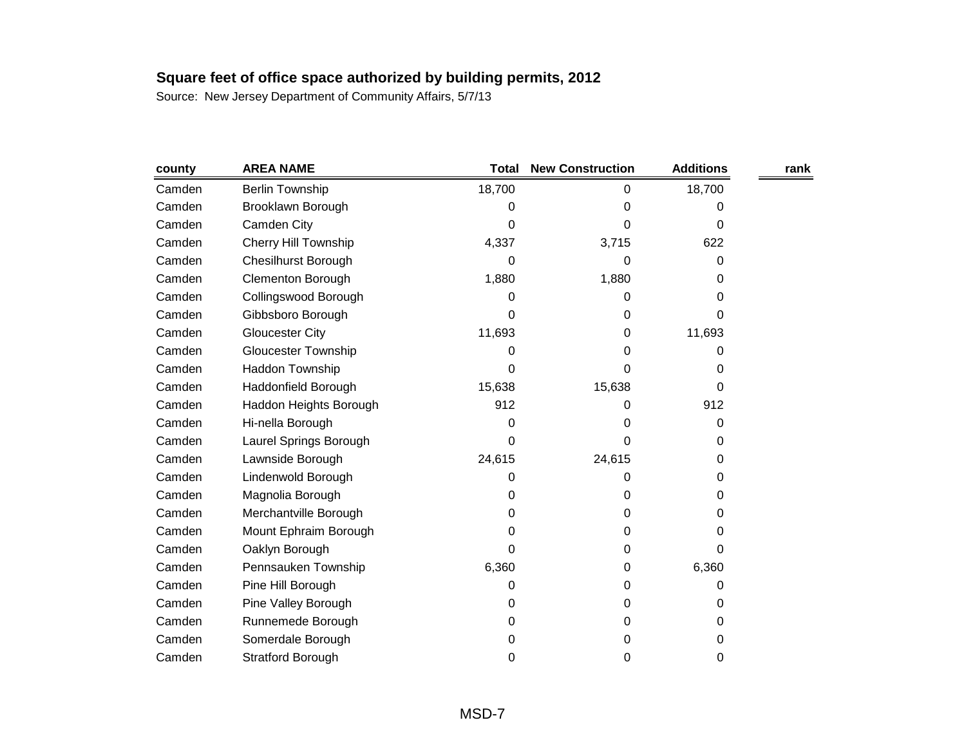| county | <b>AREA NAME</b>            | <b>Total</b> | <b>New Construction</b> | <b>Additions</b> | rank |
|--------|-----------------------------|--------------|-------------------------|------------------|------|
| Camden | <b>Berlin Township</b>      | 18,700       | 0                       | 18,700           |      |
| Camden | Brooklawn Borough           | 0            | 0                       | 0                |      |
| Camden | Camden City                 | 0            | 0                       | 0                |      |
| Camden | <b>Cherry Hill Township</b> | 4,337        | 3,715                   | 622              |      |
| Camden | <b>Chesilhurst Borough</b>  | 0            | 0                       | 0                |      |
| Camden | <b>Clementon Borough</b>    | 1,880        | 1,880                   | 0                |      |
| Camden | Collingswood Borough        | 0            | 0                       | 0                |      |
| Camden | Gibbsboro Borough           | 0            | 0                       | 0                |      |
| Camden | <b>Gloucester City</b>      | 11,693       | 0                       | 11,693           |      |
| Camden | <b>Gloucester Township</b>  | 0            | 0                       | 0                |      |
| Camden | Haddon Township             | 0            | 0                       | 0                |      |
| Camden | Haddonfield Borough         | 15,638       | 15,638                  | 0                |      |
| Camden | Haddon Heights Borough      | 912          | 0                       | 912              |      |
| Camden | Hi-nella Borough            | 0            | 0                       | 0                |      |
| Camden | Laurel Springs Borough      | 0            | 0                       | 0                |      |
| Camden | Lawnside Borough            | 24,615       | 24,615                  | 0                |      |
| Camden | Lindenwold Borough          | 0            | 0                       | 0                |      |
| Camden | Magnolia Borough            | 0            | 0                       | 0                |      |
| Camden | Merchantville Borough       | 0            | 0                       | 0                |      |
| Camden | Mount Ephraim Borough       | 0            | 0                       | 0                |      |
| Camden | Oaklyn Borough              | 0            | 0                       | 0                |      |
| Camden | Pennsauken Township         | 6,360        | 0                       | 6,360            |      |
| Camden | Pine Hill Borough           | 0            | 0                       | 0                |      |
| Camden | Pine Valley Borough         | 0            | 0                       | 0                |      |
| Camden | Runnemede Borough           | 0            | 0                       | 0                |      |
| Camden | Somerdale Borough           | 0            | 0                       | 0                |      |
| Camden | <b>Stratford Borough</b>    | 0            | 0                       | 0                |      |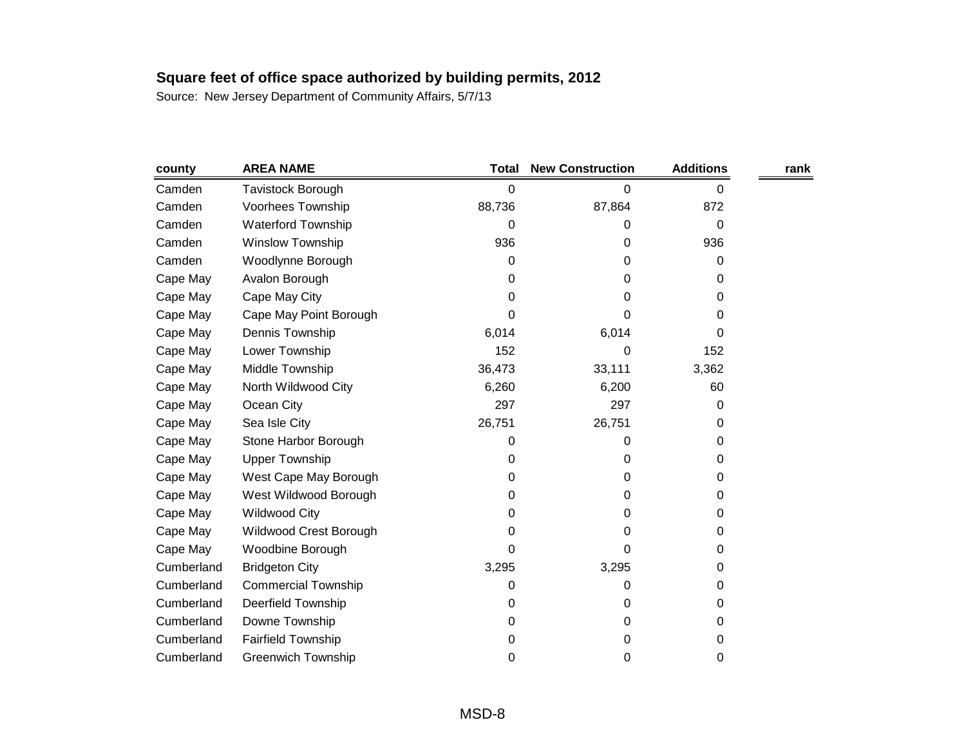| county     | <b>AREA NAME</b>           | Total  | <b>New Construction</b> | <b>Additions</b> | rank |
|------------|----------------------------|--------|-------------------------|------------------|------|
| Camden     | <b>Tavistock Borough</b>   | 0      | 0                       | 0                |      |
| Camden     | Voorhees Township          | 88,736 | 87,864                  | 872              |      |
| Camden     | <b>Waterford Township</b>  | 0      | 0                       | 0                |      |
| Camden     | <b>Winslow Township</b>    | 936    | 0                       | 936              |      |
| Camden     | Woodlynne Borough          | 0      | 0                       | 0                |      |
| Cape May   | Avalon Borough             | 0      | 0                       | 0                |      |
| Cape May   | Cape May City              | 0      | 0                       | 0                |      |
| Cape May   | Cape May Point Borough     | 0      | 0                       | 0                |      |
| Cape May   | Dennis Township            | 6,014  | 6,014                   | 0                |      |
| Cape May   | Lower Township             | 152    | 0                       | 152              |      |
| Cape May   | Middle Township            | 36,473 | 33,111                  | 3,362            |      |
| Cape May   | North Wildwood City        | 6,260  | 6,200                   | 60               |      |
| Cape May   | Ocean City                 | 297    | 297                     | 0                |      |
| Cape May   | Sea Isle City              | 26,751 | 26,751                  | 0                |      |
| Cape May   | Stone Harbor Borough       | 0      | 0                       | 0                |      |
| Cape May   | <b>Upper Township</b>      | 0      | 0                       | 0                |      |
| Cape May   | West Cape May Borough      | 0      | 0                       | 0                |      |
| Cape May   | West Wildwood Borough      | 0      | 0                       | 0                |      |
| Cape May   | <b>Wildwood City</b>       | 0      | 0                       | 0                |      |
| Cape May   | Wildwood Crest Borough     | 0      | 0                       | 0                |      |
| Cape May   | Woodbine Borough           | 0      | 0                       | 0                |      |
| Cumberland | <b>Bridgeton City</b>      | 3,295  | 3,295                   | 0                |      |
| Cumberland | <b>Commercial Township</b> | 0      | 0                       | 0                |      |
| Cumberland | Deerfield Township         | 0      | 0                       | 0                |      |
| Cumberland | Downe Township             | 0      | 0                       | 0                |      |
| Cumberland | <b>Fairfield Township</b>  | 0      | 0                       | 0                |      |
| Cumberland | <b>Greenwich Township</b>  | 0      | 0                       | 0                |      |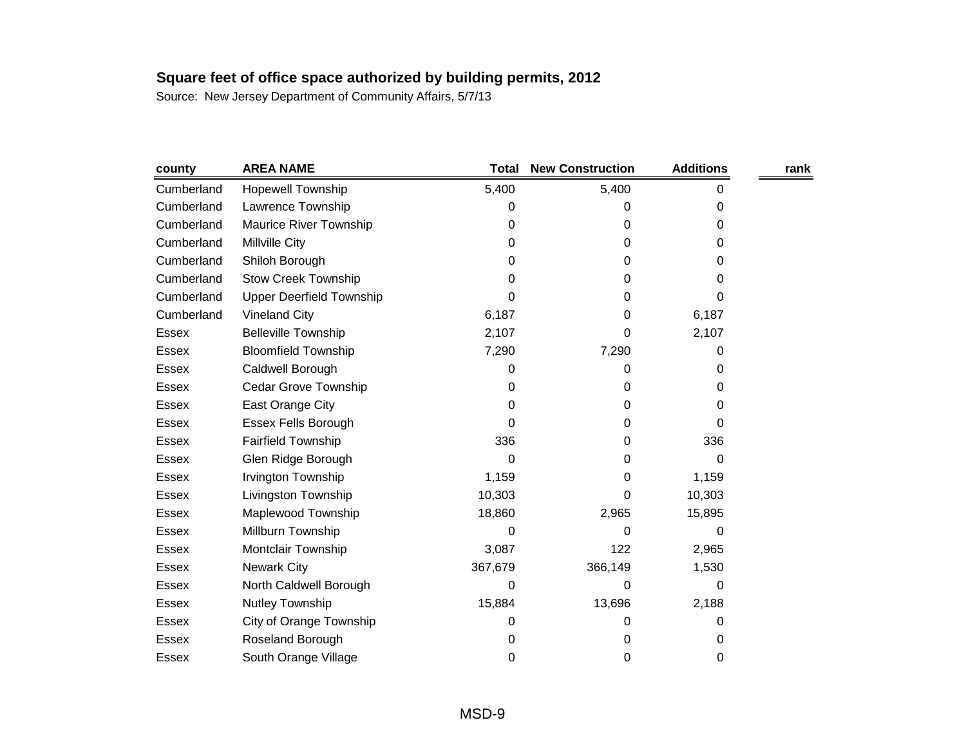| county       | <b>AREA NAME</b>                | <b>Total</b> | <b>New Construction</b> | <b>Additions</b> | rank |
|--------------|---------------------------------|--------------|-------------------------|------------------|------|
| Cumberland   | <b>Hopewell Township</b>        | 5,400        | 5,400                   | 0                |      |
| Cumberland   | Lawrence Township               | 0            | 0                       | 0                |      |
| Cumberland   | Maurice River Township          | 0            | 0                       | 0                |      |
| Cumberland   | Millville City                  | 0            | 0                       | 0                |      |
| Cumberland   | Shiloh Borough                  | 0            | 0                       | 0                |      |
| Cumberland   | <b>Stow Creek Township</b>      | 0            | 0                       | 0                |      |
| Cumberland   | <b>Upper Deerfield Township</b> | 0            | 0                       | 0                |      |
| Cumberland   | <b>Vineland City</b>            | 6,187        | 0                       | 6,187            |      |
| Essex        | <b>Belleville Township</b>      | 2,107        | 0                       | 2,107            |      |
| Essex        | <b>Bloomfield Township</b>      | 7,290        | 7,290                   | 0                |      |
| Essex        | Caldwell Borough                | 0            | 0                       | 0                |      |
| Essex        | Cedar Grove Township            | 0            | 0                       | 0                |      |
| Essex        | East Orange City                | 0            | 0                       | 0                |      |
| Essex        | <b>Essex Fells Borough</b>      | 0            | 0                       | 0                |      |
| Essex        | <b>Fairfield Township</b>       | 336          | 0                       | 336              |      |
| <b>Essex</b> | Glen Ridge Borough              | 0            | 0                       | 0                |      |
| Essex        | Irvington Township              | 1,159        | 0                       | 1,159            |      |
| Essex        | Livingston Township             | 10,303       | 0                       | 10,303           |      |
| <b>Essex</b> | Maplewood Township              | 18,860       | 2,965                   | 15,895           |      |
| Essex        | Millburn Township               | 0            | 0                       | 0                |      |
| <b>Essex</b> | Montclair Township              | 3,087        | 122                     | 2,965            |      |
| Essex        | <b>Newark City</b>              | 367,679      | 366,149                 | 1,530            |      |
| Essex        | North Caldwell Borough          | 0            | 0                       | 0                |      |
| <b>Essex</b> | Nutley Township                 | 15,884       | 13,696                  | 2,188            |      |
| Essex        | City of Orange Township         | 0            | 0                       | 0                |      |
| <b>Essex</b> | Roseland Borough                | 0            | 0                       | 0                |      |
| Essex        | South Orange Village            | 0            | 0                       | 0                |      |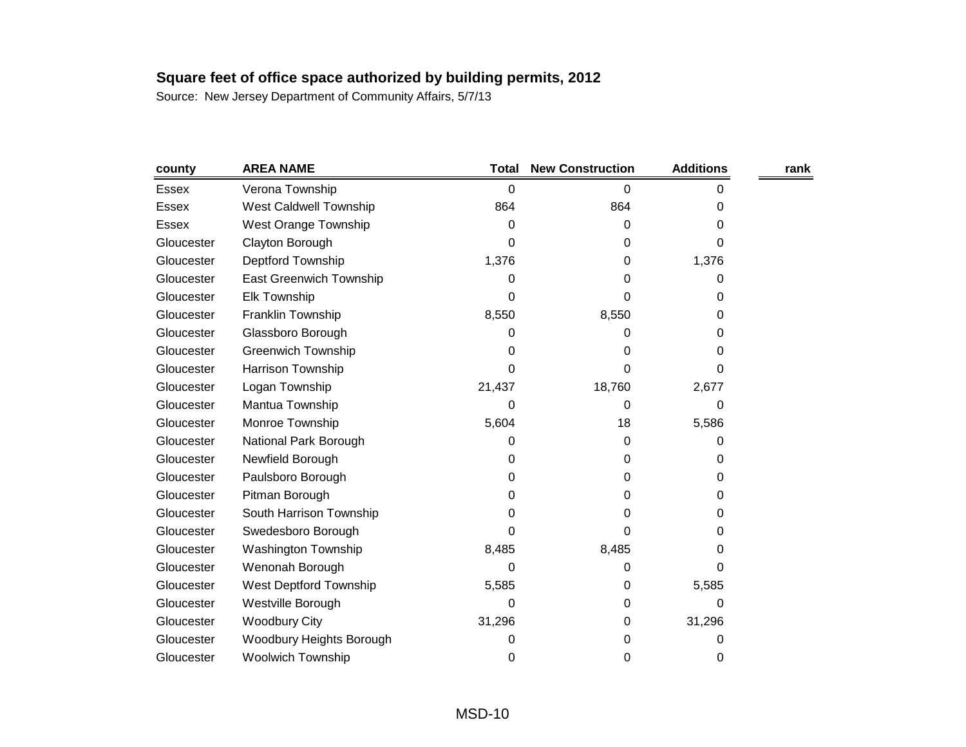| county       | <b>AREA NAME</b>          | <b>Total</b> | <b>New Construction</b> | <b>Additions</b> | rank |
|--------------|---------------------------|--------------|-------------------------|------------------|------|
| <b>Essex</b> | Verona Township           | 0            | 0                       | 0                |      |
| <b>Essex</b> | West Caldwell Township    | 864          | 864                     | 0                |      |
| Essex        | West Orange Township      | 0            | 0                       | 0                |      |
| Gloucester   | Clayton Borough           | 0            | 0                       | 0                |      |
| Gloucester   | Deptford Township         | 1,376        | 0                       | 1,376            |      |
| Gloucester   | East Greenwich Township   | 0            | 0                       | 0                |      |
| Gloucester   | <b>Elk Township</b>       | 0            | 0                       | 0                |      |
| Gloucester   | Franklin Township         | 8,550        | 8,550                   | 0                |      |
| Gloucester   | Glassboro Borough         | 0            | 0                       | 0                |      |
| Gloucester   | <b>Greenwich Township</b> | 0            | 0                       | 0                |      |
| Gloucester   | Harrison Township         | 0            | 0                       | 0                |      |
| Gloucester   | Logan Township            | 21,437       | 18,760                  | 2,677            |      |
| Gloucester   | Mantua Township           | 0            | 0                       | 0                |      |
| Gloucester   | Monroe Township           | 5,604        | 18                      | 5,586            |      |
| Gloucester   | National Park Borough     | 0            | 0                       | 0                |      |
| Gloucester   | Newfield Borough          | 0            | 0                       | 0                |      |
| Gloucester   | Paulsboro Borough         | 0            | 0                       | 0                |      |
| Gloucester   | Pitman Borough            | 0            | 0                       | 0                |      |
| Gloucester   | South Harrison Township   | 0            | 0                       | 0                |      |
| Gloucester   | Swedesboro Borough        | 0            | 0                       | 0                |      |
| Gloucester   | Washington Township       | 8,485        | 8,485                   | 0                |      |
| Gloucester   | Wenonah Borough           | 0            | 0                       | 0                |      |
| Gloucester   | West Deptford Township    | 5,585        | 0                       | 5,585            |      |
| Gloucester   | Westville Borough         | 0            | 0                       | 0                |      |
| Gloucester   | <b>Woodbury City</b>      | 31,296       | 0                       | 31,296           |      |
| Gloucester   | Woodbury Heights Borough  | 0            | 0                       | 0                |      |
| Gloucester   | Woolwich Township         | 0            | 0                       | 0                |      |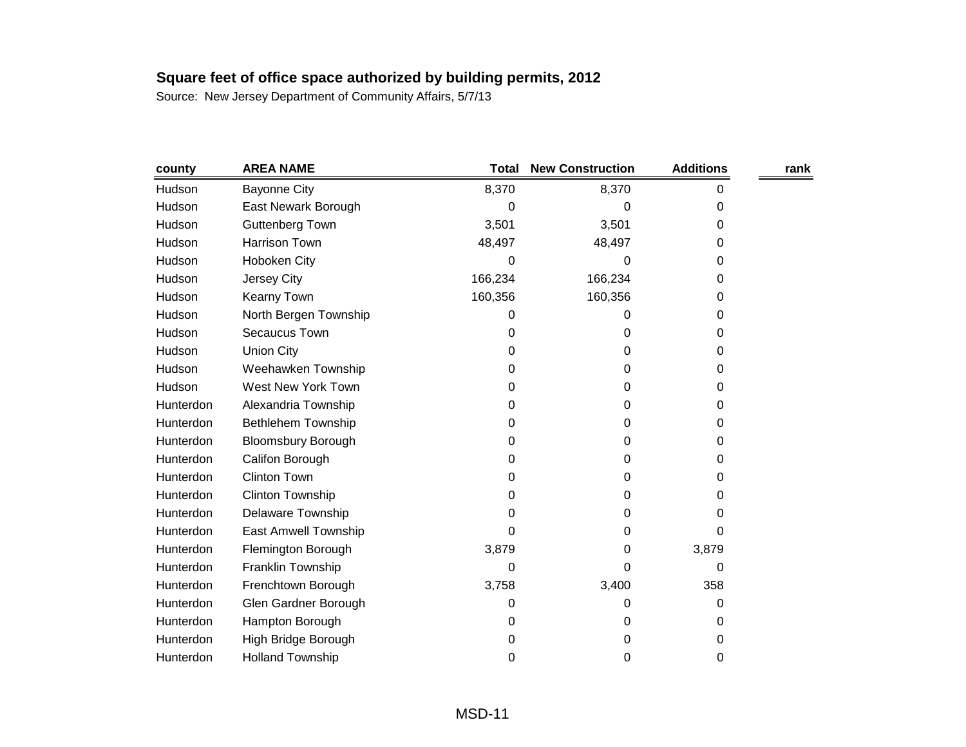| county    | <b>AREA NAME</b>          | <b>Total</b> | <b>New Construction</b> | <b>Additions</b> | rank |
|-----------|---------------------------|--------------|-------------------------|------------------|------|
| Hudson    | <b>Bayonne City</b>       | 8,370        | 8,370                   | 0                |      |
| Hudson    | East Newark Borough       | 0            | 0                       | 0                |      |
| Hudson    | <b>Guttenberg Town</b>    | 3,501        | 3,501                   | 0                |      |
| Hudson    | <b>Harrison Town</b>      | 48,497       | 48,497                  | 0                |      |
| Hudson    | Hoboken City              | 0            | 0                       | 0                |      |
| Hudson    | Jersey City               | 166,234      | 166,234                 | 0                |      |
| Hudson    | <b>Kearny Town</b>        | 160,356      | 160,356                 | 0                |      |
| Hudson    | North Bergen Township     | 0            | 0                       | 0                |      |
| Hudson    | Secaucus Town             | 0            | 0                       | 0                |      |
| Hudson    | <b>Union City</b>         | 0            | 0                       | 0                |      |
| Hudson    | Weehawken Township        | 0            | 0                       | 0                |      |
| Hudson    | West New York Town        | 0            | 0                       | 0                |      |
| Hunterdon | Alexandria Township       | 0            | 0                       | 0                |      |
| Hunterdon | <b>Bethlehem Township</b> | 0            | 0                       | 0                |      |
| Hunterdon | <b>Bloomsbury Borough</b> | 0            | 0                       | 0                |      |
| Hunterdon | Califon Borough           | 0            | 0                       | 0                |      |
| Hunterdon | <b>Clinton Town</b>       | 0            | 0                       | 0                |      |
| Hunterdon | <b>Clinton Township</b>   | 0            | 0                       | 0                |      |
| Hunterdon | Delaware Township         | 0            | 0                       | 0                |      |
| Hunterdon | East Amwell Township      | 0            | 0                       | 0                |      |
| Hunterdon | Flemington Borough        | 3,879        | 0                       | 3,879            |      |
| Hunterdon | Franklin Township         | 0            | 0                       | 0                |      |
| Hunterdon | Frenchtown Borough        | 3,758        | 3,400                   | 358              |      |
| Hunterdon | Glen Gardner Borough      | 0            | 0                       | 0                |      |
| Hunterdon | Hampton Borough           | 0            | 0                       | 0                |      |
| Hunterdon | High Bridge Borough       | 0            | 0                       | 0                |      |
| Hunterdon | <b>Holland Township</b>   | 0            | 0                       | 0                |      |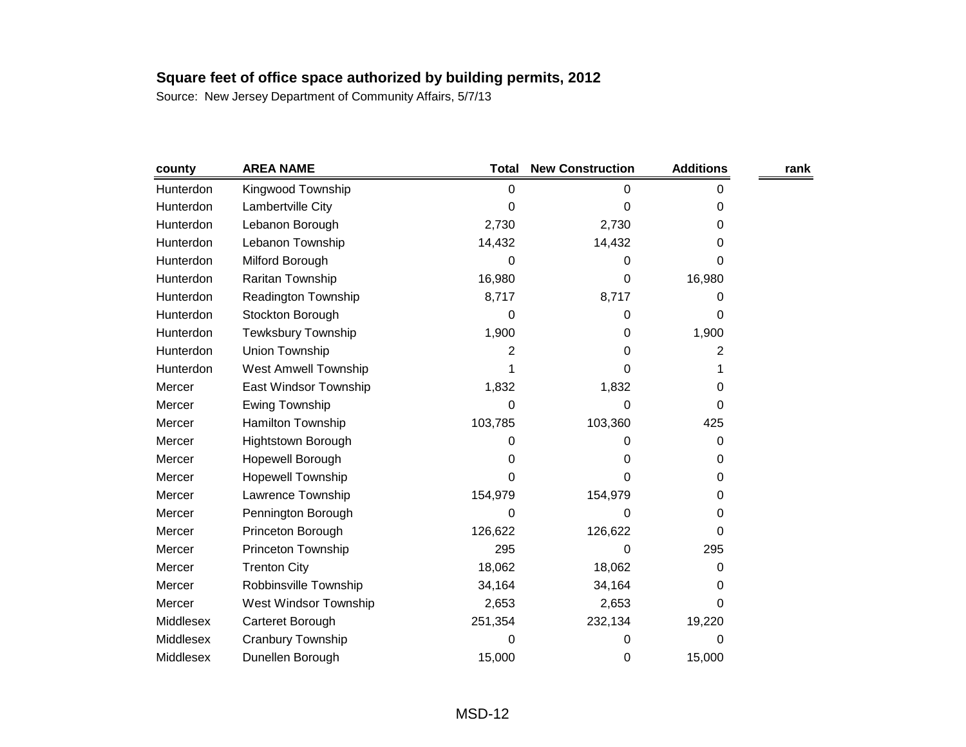| county    | <b>AREA NAME</b>            | <b>Total</b> | <b>New Construction</b> | <b>Additions</b> | rank |
|-----------|-----------------------------|--------------|-------------------------|------------------|------|
| Hunterdon | Kingwood Township           | 0            | 0                       | 0                |      |
| Hunterdon | Lambertville City           | 0            | 0                       | 0                |      |
| Hunterdon | Lebanon Borough             | 2,730        | 2,730                   | 0                |      |
| Hunterdon | Lebanon Township            | 14,432       | 14,432                  | 0                |      |
| Hunterdon | Milford Borough             | 0            | 0                       | 0                |      |
| Hunterdon | Raritan Township            | 16,980       | 0                       | 16,980           |      |
| Hunterdon | Readington Township         | 8,717        | 8,717                   | 0                |      |
| Hunterdon | Stockton Borough            | 0            | 0                       | 0                |      |
| Hunterdon | <b>Tewksbury Township</b>   | 1,900        | 0                       | 1,900            |      |
| Hunterdon | Union Township              | 2            | 0                       | 2                |      |
| Hunterdon | <b>West Amwell Township</b> |              | 0                       |                  |      |
| Mercer    | East Windsor Township       | 1,832        | 1,832                   | 0                |      |
| Mercer    | Ewing Township              | 0            | 0                       | 0                |      |
| Mercer    | Hamilton Township           | 103,785      | 103,360                 | 425              |      |
| Mercer    | <b>Hightstown Borough</b>   | 0            | 0                       | 0                |      |
| Mercer    | Hopewell Borough            | 0            | 0                       | 0                |      |
| Mercer    | <b>Hopewell Township</b>    | 0            | 0                       | 0                |      |
| Mercer    | Lawrence Township           | 154,979      | 154,979                 | 0                |      |
| Mercer    | Pennington Borough          | 0            | 0                       | 0                |      |
| Mercer    | Princeton Borough           | 126,622      | 126,622                 | 0                |      |
| Mercer    | Princeton Township          | 295          | 0                       | 295              |      |
| Mercer    | <b>Trenton City</b>         | 18,062       | 18,062                  | 0                |      |
| Mercer    | Robbinsville Township       | 34,164       | 34,164                  | 0                |      |
| Mercer    | West Windsor Township       | 2,653        | 2,653                   | 0                |      |
| Middlesex | Carteret Borough            | 251,354      | 232,134                 | 19,220           |      |
| Middlesex | <b>Cranbury Township</b>    | 0            | 0                       | 0                |      |
| Middlesex | Dunellen Borough            | 15,000       | 0                       | 15,000           |      |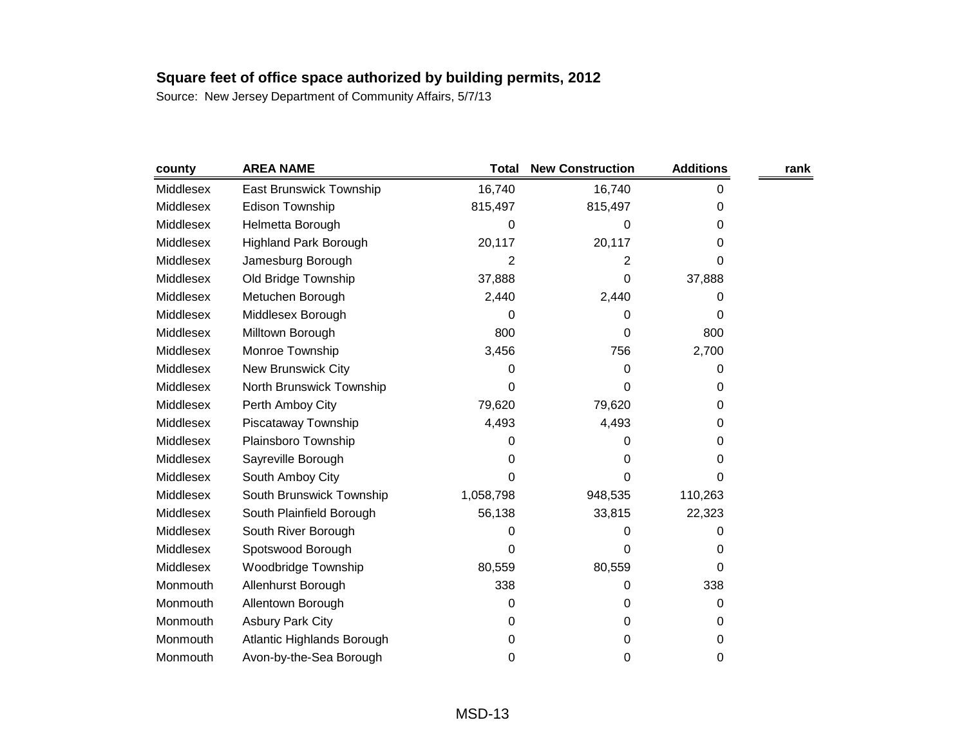| county    | <b>AREA NAME</b>               | <b>Total</b>   | <b>New Construction</b> | <b>Additions</b> | rank |
|-----------|--------------------------------|----------------|-------------------------|------------------|------|
| Middlesex | <b>East Brunswick Township</b> | 16,740         | 16,740                  | 0                |      |
| Middlesex | <b>Edison Township</b>         | 815,497        | 815,497                 | 0                |      |
| Middlesex | Helmetta Borough               | 0              | 0                       | 0                |      |
| Middlesex | <b>Highland Park Borough</b>   | 20,117         | 20,117                  | 0                |      |
| Middlesex | Jamesburg Borough              | $\overline{2}$ | 2                       | 0                |      |
| Middlesex | Old Bridge Township            | 37,888         | 0                       | 37,888           |      |
| Middlesex | Metuchen Borough               | 2,440          | 2,440                   | 0                |      |
| Middlesex | Middlesex Borough              | 0              | 0                       | 0                |      |
| Middlesex | Milltown Borough               | 800            | 0                       | 800              |      |
| Middlesex | Monroe Township                | 3,456          | 756                     | 2,700            |      |
| Middlesex | New Brunswick City             | 0              | 0                       | 0                |      |
| Middlesex | North Brunswick Township       | 0              | 0                       | 0                |      |
| Middlesex | Perth Amboy City               | 79,620         | 79,620                  | 0                |      |
| Middlesex | Piscataway Township            | 4,493          | 4,493                   | 0                |      |
| Middlesex | Plainsboro Township            | 0              | 0                       | 0                |      |
| Middlesex | Sayreville Borough             | 0              | 0                       | 0                |      |
| Middlesex | South Amboy City               | 0              | 0                       | 0                |      |
| Middlesex | South Brunswick Township       | 1,058,798      | 948,535                 | 110,263          |      |
| Middlesex | South Plainfield Borough       | 56,138         | 33,815                  | 22,323           |      |
| Middlesex | South River Borough            | 0              | 0                       | 0                |      |
| Middlesex | Spotswood Borough              | 0              | 0                       | 0                |      |
| Middlesex | Woodbridge Township            | 80,559         | 80,559                  | 0                |      |
| Monmouth  | Allenhurst Borough             | 338            | 0                       | 338              |      |
| Monmouth  | Allentown Borough              | 0              | 0                       | 0                |      |
| Monmouth  | <b>Asbury Park City</b>        | 0              | 0                       | 0                |      |
| Monmouth  | Atlantic Highlands Borough     | 0              | 0                       | 0                |      |
| Monmouth  | Avon-by-the-Sea Borough        | 0              | 0                       | 0                |      |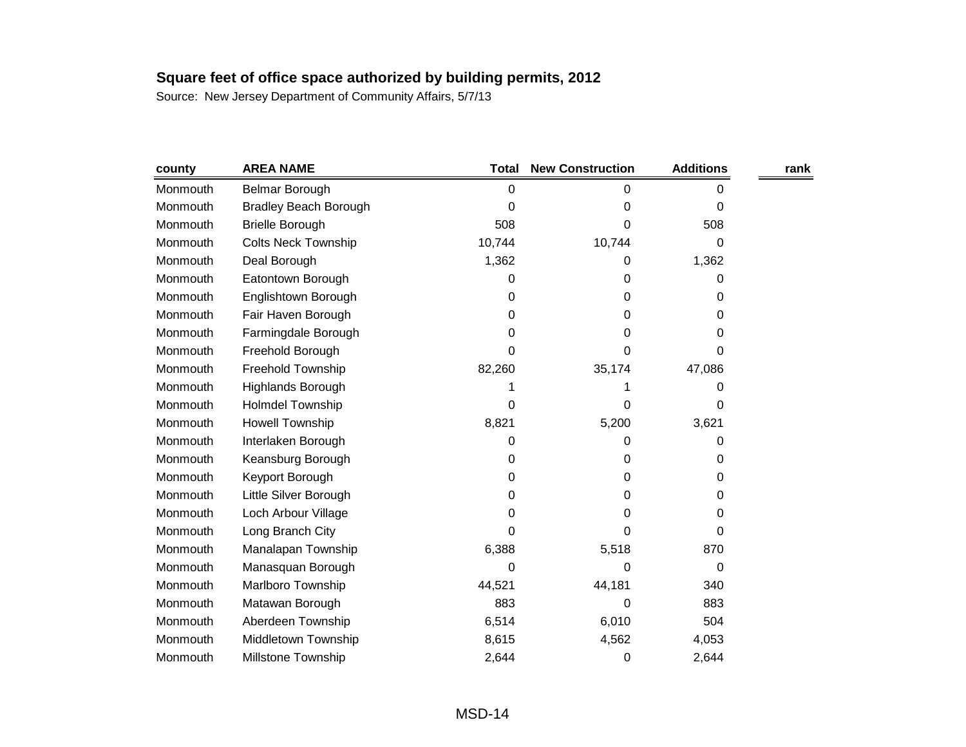| county   | <b>AREA NAME</b>             | <b>Total</b> | <b>New Construction</b> | <b>Additions</b> | rank |
|----------|------------------------------|--------------|-------------------------|------------------|------|
| Monmouth | Belmar Borough               | 0            | 0                       | 0                |      |
| Monmouth | <b>Bradley Beach Borough</b> | 0            | 0                       | 0                |      |
| Monmouth | <b>Brielle Borough</b>       | 508          | 0                       | 508              |      |
| Monmouth | <b>Colts Neck Township</b>   | 10,744       | 10,744                  | 0                |      |
| Monmouth | Deal Borough                 | 1,362        | 0                       | 1,362            |      |
| Monmouth | Eatontown Borough            | 0            | 0                       | 0                |      |
| Monmouth | Englishtown Borough          | 0            | 0                       | 0                |      |
| Monmouth | Fair Haven Borough           | 0            | 0                       | 0                |      |
| Monmouth | Farmingdale Borough          | 0            | 0                       | 0                |      |
| Monmouth | Freehold Borough             | 0            | 0                       | 0                |      |
| Monmouth | Freehold Township            | 82,260       | 35,174                  | 47,086           |      |
| Monmouth | Highlands Borough            |              |                         | 0                |      |
| Monmouth | <b>Holmdel Township</b>      | 0            | 0                       | 0                |      |
| Monmouth | Howell Township              | 8,821        | 5,200                   | 3,621            |      |
| Monmouth | Interlaken Borough           | 0            | 0                       | 0                |      |
| Monmouth | Keansburg Borough            | 0            | 0                       | 0                |      |
| Monmouth | Keyport Borough              | 0            | 0                       | 0                |      |
| Monmouth | Little Silver Borough        | 0            | 0                       | 0                |      |
| Monmouth | Loch Arbour Village          | 0            | 0                       | 0                |      |
| Monmouth | Long Branch City             | 0            | 0                       | 0                |      |
| Monmouth | Manalapan Township           | 6,388        | 5,518                   | 870              |      |
| Monmouth | Manasquan Borough            | 0            | 0                       | 0                |      |
| Monmouth | Marlboro Township            | 44,521       | 44,181                  | 340              |      |
| Monmouth | Matawan Borough              | 883          | 0                       | 883              |      |
| Monmouth | Aberdeen Township            | 6,514        | 6,010                   | 504              |      |
| Monmouth | Middletown Township          | 8,615        | 4,562                   | 4,053            |      |
| Monmouth | <b>Millstone Township</b>    | 2,644        | 0                       | 2,644            |      |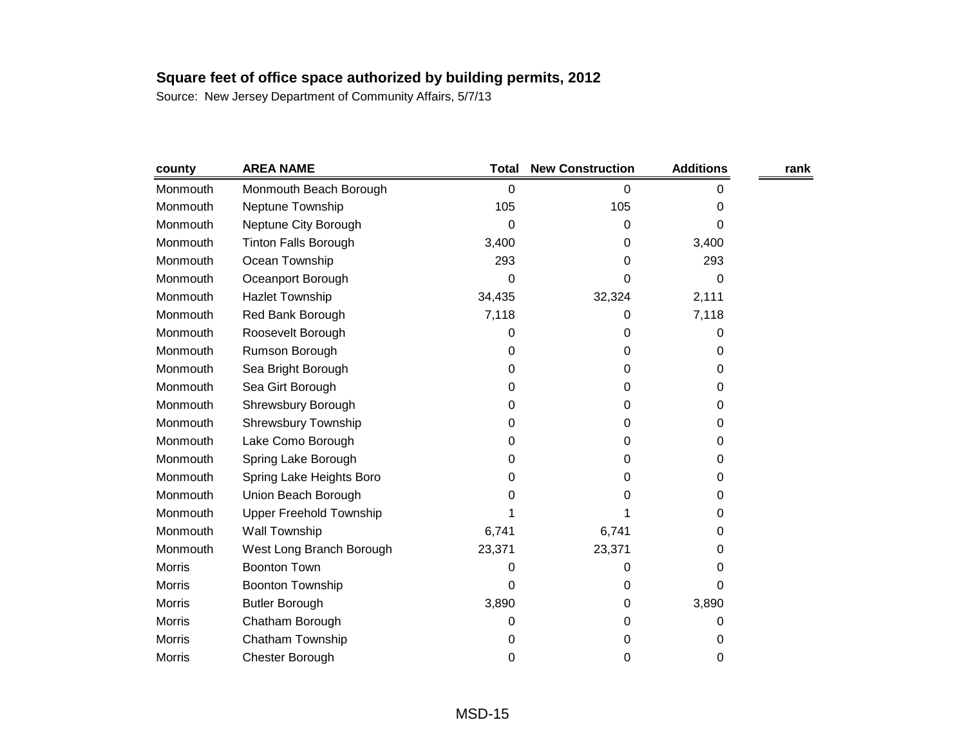| county        | <b>AREA NAME</b>               | Total  | <b>New Construction</b> | <b>Additions</b> | rank |
|---------------|--------------------------------|--------|-------------------------|------------------|------|
| Monmouth      | Monmouth Beach Borough         | 0      | 0                       | 0                |      |
| Monmouth      | Neptune Township               | 105    | 105                     | 0                |      |
| Monmouth      | Neptune City Borough           | 0      | 0                       | 0                |      |
| Monmouth      | <b>Tinton Falls Borough</b>    | 3,400  | 0                       | 3,400            |      |
| Monmouth      | Ocean Township                 | 293    | 0                       | 293              |      |
| Monmouth      | Oceanport Borough              | 0      | 0                       | 0                |      |
| Monmouth      | <b>Hazlet Township</b>         | 34,435 | 32,324                  | 2,111            |      |
| Monmouth      | Red Bank Borough               | 7,118  | 0                       | 7,118            |      |
| Monmouth      | Roosevelt Borough              | 0      | 0                       | 0                |      |
| Monmouth      | Rumson Borough                 | 0      | 0                       | 0                |      |
| Monmouth      | Sea Bright Borough             | 0      | 0                       | 0                |      |
| Monmouth      | Sea Girt Borough               | 0      | 0                       | 0                |      |
| Monmouth      | Shrewsbury Borough             | 0      | 0                       | 0                |      |
| Monmouth      | Shrewsbury Township            | 0      | 0                       | 0                |      |
| Monmouth      | Lake Como Borough              | 0      | 0                       | 0                |      |
| Monmouth      | Spring Lake Borough            | 0      | 0                       | 0                |      |
| Monmouth      | Spring Lake Heights Boro       | 0      | 0                       | 0                |      |
| Monmouth      | Union Beach Borough            | 0      | 0                       | 0                |      |
| Monmouth      | <b>Upper Freehold Township</b> |        | 1                       | 0                |      |
| Monmouth      | Wall Township                  | 6,741  | 6,741                   | 0                |      |
| Monmouth      | West Long Branch Borough       | 23,371 | 23,371                  | 0                |      |
| <b>Morris</b> | <b>Boonton Town</b>            | 0      | 0                       | 0                |      |
| <b>Morris</b> | <b>Boonton Township</b>        | 0      | 0                       | 0                |      |
| <b>Morris</b> | <b>Butler Borough</b>          | 3,890  | 0                       | 3,890            |      |
| <b>Morris</b> | Chatham Borough                | 0      | 0                       | 0                |      |
| <b>Morris</b> | Chatham Township               | 0      | 0                       | 0                |      |
| <b>Morris</b> | Chester Borough                | 0      | 0                       | 0                |      |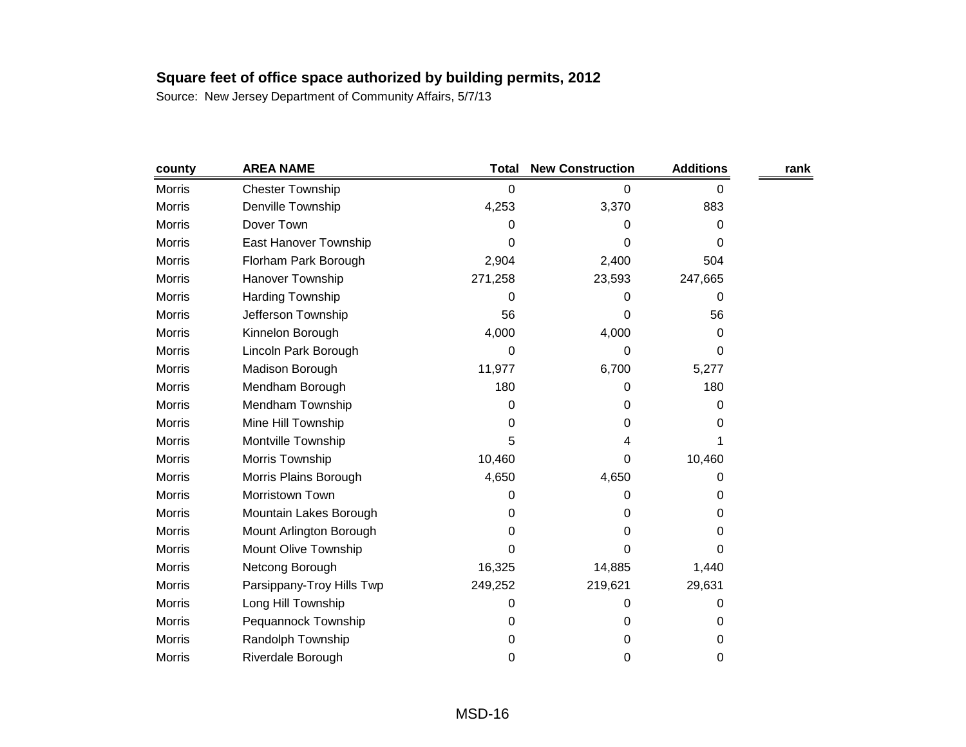| county        | <b>AREA NAME</b>          | <b>Total</b> | <b>New Construction</b> | <b>Additions</b> | rank |
|---------------|---------------------------|--------------|-------------------------|------------------|------|
| <b>Morris</b> | <b>Chester Township</b>   | 0            | 0                       | 0                |      |
| <b>Morris</b> | Denville Township         | 4,253        | 3,370                   | 883              |      |
| <b>Morris</b> | Dover Town                | 0            | 0                       | 0                |      |
| <b>Morris</b> | East Hanover Township     | 0            | 0                       | 0                |      |
| <b>Morris</b> | Florham Park Borough      | 2,904        | 2,400                   | 504              |      |
| Morris        | Hanover Township          | 271,258      | 23,593                  | 247,665          |      |
| <b>Morris</b> | <b>Harding Township</b>   | 0            | 0                       | 0                |      |
| <b>Morris</b> | Jefferson Township        | 56           | 0                       | 56               |      |
| Morris        | Kinnelon Borough          | 4,000        | 4,000                   | 0                |      |
| <b>Morris</b> | Lincoln Park Borough      | 0            | 0                       | 0                |      |
| <b>Morris</b> | Madison Borough           | 11,977       | 6,700                   | 5,277            |      |
| Morris        | Mendham Borough           | 180          | 0                       | 180              |      |
| <b>Morris</b> | Mendham Township          | 0            | 0                       | 0                |      |
| <b>Morris</b> | Mine Hill Township        | 0            | 0                       | 0                |      |
| <b>Morris</b> | Montville Township        | 5            | 4                       |                  |      |
| <b>Morris</b> | Morris Township           | 10,460       | 0                       | 10,460           |      |
| <b>Morris</b> | Morris Plains Borough     | 4,650        | 4,650                   | 0                |      |
| <b>Morris</b> | Morristown Town           | 0            | 0                       | 0                |      |
| <b>Morris</b> | Mountain Lakes Borough    | 0            | 0                       | 0                |      |
| <b>Morris</b> | Mount Arlington Borough   | 0            | 0                       | 0                |      |
| <b>Morris</b> | Mount Olive Township      | 0            | 0                       | 0                |      |
| <b>Morris</b> | Netcong Borough           | 16,325       | 14,885                  | 1,440            |      |
| Morris        | Parsippany-Troy Hills Twp | 249,252      | 219,621                 | 29,631           |      |
| <b>Morris</b> | Long Hill Township        | 0            | 0                       | 0                |      |
| <b>Morris</b> | Pequannock Township       | 0            | 0                       | 0                |      |
| <b>Morris</b> | Randolph Township         | 0            | 0                       | 0                |      |
| Morris        | Riverdale Borough         | 0            | 0                       | 0                |      |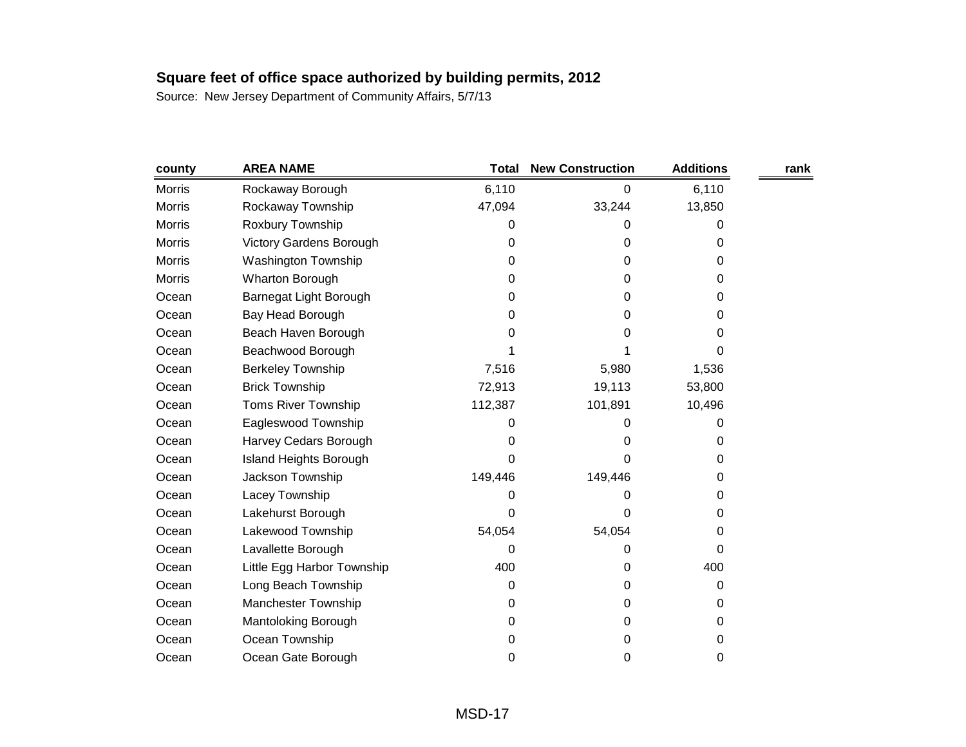| county        | <b>AREA NAME</b>               | <b>Total</b> | <b>New Construction</b> | <b>Additions</b> | rank |
|---------------|--------------------------------|--------------|-------------------------|------------------|------|
| <b>Morris</b> | Rockaway Borough               | 6,110        | 0                       | 6,110            |      |
| Morris        | Rockaway Township              | 47,094       | 33,244                  | 13,850           |      |
| <b>Morris</b> | Roxbury Township               | 0            | 0                       | 0                |      |
| <b>Morris</b> | <b>Victory Gardens Borough</b> | 0            | 0                       | 0                |      |
| <b>Morris</b> | <b>Washington Township</b>     | 0            | 0                       | 0                |      |
| Morris        | Wharton Borough                | 0            | 0                       | 0                |      |
| Ocean         | Barnegat Light Borough         | 0            | 0                       | 0                |      |
| Ocean         | Bay Head Borough               | 0            | 0                       | 0                |      |
| Ocean         | Beach Haven Borough            | 0            | 0                       | 0                |      |
| Ocean         | Beachwood Borough              |              |                         | 0                |      |
| Ocean         | <b>Berkeley Township</b>       | 7,516        | 5,980                   | 1,536            |      |
| Ocean         | <b>Brick Township</b>          | 72,913       | 19,113                  | 53,800           |      |
| Ocean         | <b>Toms River Township</b>     | 112,387      | 101,891                 | 10,496           |      |
| Ocean         | Eagleswood Township            | 0            | 0                       | 0                |      |
| Ocean         | Harvey Cedars Borough          | 0            | 0                       | 0                |      |
| Ocean         | <b>Island Heights Borough</b>  | 0            | 0                       | 0                |      |
| Ocean         | Jackson Township               | 149,446      | 149,446                 | 0                |      |
| Ocean         | Lacey Township                 | 0            | 0                       | 0                |      |
| Ocean         | Lakehurst Borough              | 0            | 0                       | 0                |      |
| Ocean         | Lakewood Township              | 54,054       | 54,054                  | 0                |      |
| Ocean         | Lavallette Borough             | 0            | 0                       | 0                |      |
| Ocean         | Little Egg Harbor Township     | 400          | 0                       | 400              |      |
| Ocean         | Long Beach Township            | 0            | 0                       | 0                |      |
| Ocean         | Manchester Township            | 0            | 0                       | 0                |      |
| Ocean         | Mantoloking Borough            | 0            | 0                       | 0                |      |
| Ocean         | Ocean Township                 | 0            | 0                       | 0                |      |
| Ocean         | Ocean Gate Borough             | 0            | 0                       | 0                |      |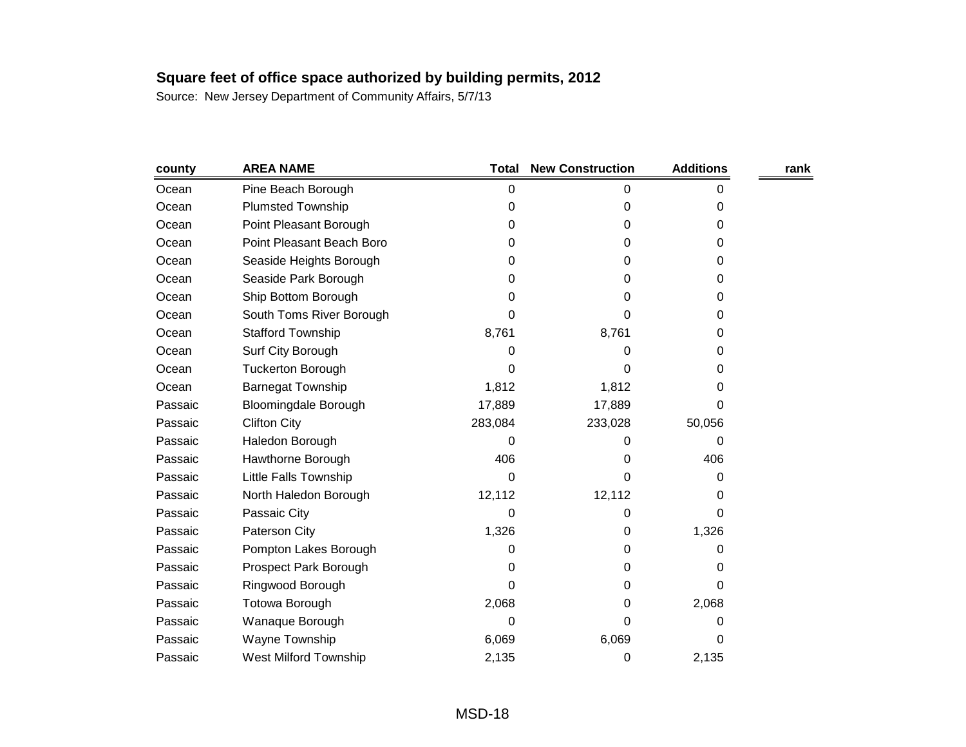| county  | <b>AREA NAME</b>             | <b>Total</b> | <b>New Construction</b> | <b>Additions</b> | rank |
|---------|------------------------------|--------------|-------------------------|------------------|------|
| Ocean   | Pine Beach Borough           | 0            | 0                       | 0                |      |
| Ocean   | <b>Plumsted Township</b>     | 0            | 0                       | 0                |      |
| Ocean   | Point Pleasant Borough       | 0            | 0                       | 0                |      |
| Ocean   | Point Pleasant Beach Boro    | 0            | 0                       | 0                |      |
| Ocean   | Seaside Heights Borough      | 0            | 0                       | 0                |      |
| Ocean   | Seaside Park Borough         | 0            | 0                       | 0                |      |
| Ocean   | Ship Bottom Borough          | 0            | O                       | 0                |      |
| Ocean   | South Toms River Borough     | 0            | 0                       | 0                |      |
| Ocean   | <b>Stafford Township</b>     | 8,761        | 8,761                   | 0                |      |
| Ocean   | Surf City Borough            | 0            | 0                       | 0                |      |
| Ocean   | <b>Tuckerton Borough</b>     | 0            | 0                       | 0                |      |
| Ocean   | <b>Barnegat Township</b>     | 1,812        | 1,812                   | 0                |      |
| Passaic | <b>Bloomingdale Borough</b>  | 17,889       | 17,889                  | 0                |      |
| Passaic | <b>Clifton City</b>          | 283,084      | 233,028                 | 50,056           |      |
| Passaic | Haledon Borough              | 0            | 0                       | 0                |      |
| Passaic | Hawthorne Borough            | 406          | 0                       | 406              |      |
| Passaic | Little Falls Township        | 0            | 0                       | 0                |      |
| Passaic | North Haledon Borough        | 12,112       | 12,112                  | 0                |      |
| Passaic | Passaic City                 | 0            | 0                       | 0                |      |
| Passaic | Paterson City                | 1,326        | 0                       | 1,326            |      |
| Passaic | Pompton Lakes Borough        | 0            | 0                       | 0                |      |
| Passaic | Prospect Park Borough        | 0            | 0                       | O                |      |
| Passaic | Ringwood Borough             | 0            | 0                       | 0                |      |
| Passaic | Totowa Borough               | 2,068        | 0                       | 2,068            |      |
| Passaic | Wanaque Borough              | 0            | 0                       | 0                |      |
| Passaic | Wayne Township               | 6,069        | 6,069                   | 0                |      |
| Passaic | <b>West Milford Township</b> | 2,135        | 0                       | 2,135            |      |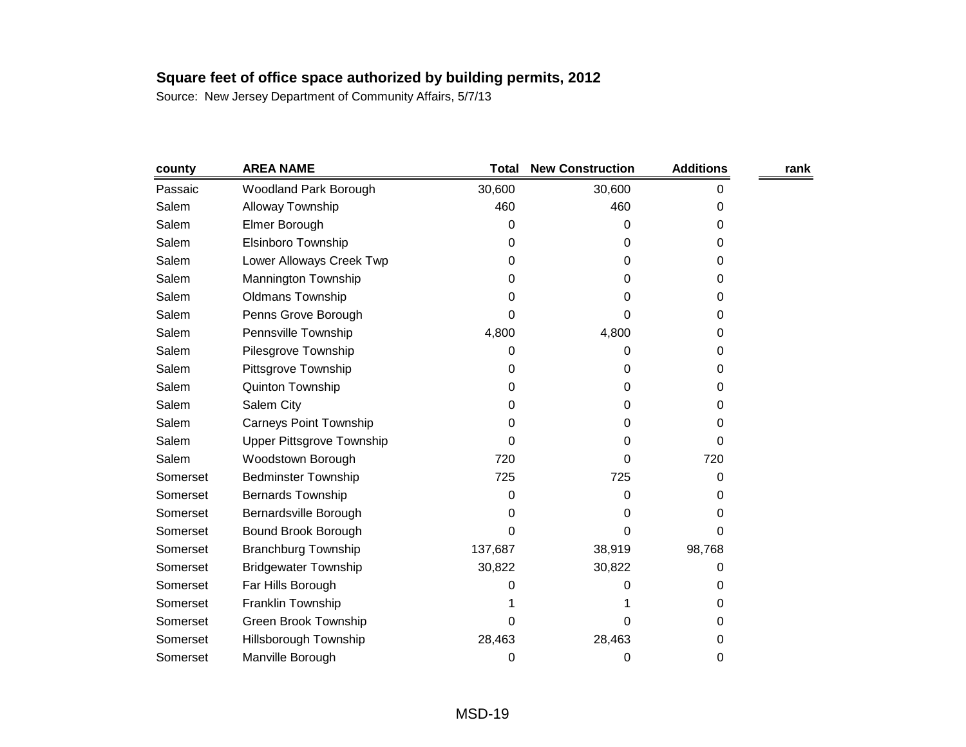| county   | <b>AREA NAME</b>                 | <b>Total</b> | <b>New Construction</b> | <b>Additions</b> | rank |
|----------|----------------------------------|--------------|-------------------------|------------------|------|
| Passaic  | Woodland Park Borough            | 30,600       | 30,600                  | 0                |      |
| Salem    | Alloway Township                 | 460          | 460                     | 0                |      |
| Salem    | Elmer Borough                    | 0            | 0                       | 0                |      |
| Salem    | Elsinboro Township               | 0            | 0                       | 0                |      |
| Salem    | Lower Alloways Creek Twp         | 0            | 0                       | 0                |      |
| Salem    | Mannington Township              | 0            | 0                       | 0                |      |
| Salem    | <b>Oldmans Township</b>          | 0            | Ω                       | 0                |      |
| Salem    | Penns Grove Borough              | 0            | 0                       | 0                |      |
| Salem    | Pennsville Township              | 4,800        | 4,800                   | 0                |      |
| Salem    | Pilesgrove Township              | 0            | 0                       | 0                |      |
| Salem    | Pittsgrove Township              | 0            | 0                       | 0                |      |
| Salem    | Quinton Township                 | 0            | 0                       | 0                |      |
| Salem    | Salem City                       | 0            | 0                       | 0                |      |
| Salem    | <b>Carneys Point Township</b>    | 0            | 0                       | 0                |      |
| Salem    | <b>Upper Pittsgrove Township</b> | 0            | 0                       | 0                |      |
| Salem    | Woodstown Borough                | 720          | 0                       | 720              |      |
| Somerset | <b>Bedminster Township</b>       | 725          | 725                     | 0                |      |
| Somerset | <b>Bernards Township</b>         | 0            | 0                       | 0                |      |
| Somerset | Bernardsville Borough            | 0            | 0                       | 0                |      |
| Somerset | Bound Brook Borough              | 0            | 0                       | 0                |      |
| Somerset | <b>Branchburg Township</b>       | 137,687      | 38,919                  | 98,768           |      |
| Somerset | <b>Bridgewater Township</b>      | 30,822       | 30,822                  | 0                |      |
| Somerset | Far Hills Borough                | O            | Ω                       | 0                |      |
| Somerset | Franklin Township                |              |                         | 0                |      |
| Somerset | Green Brook Township             | 0            | O                       | 0                |      |
| Somerset | <b>Hillsborough Township</b>     | 28,463       | 28,463                  | 0                |      |
| Somerset | Manville Borough                 | 0            | 0                       | 0                |      |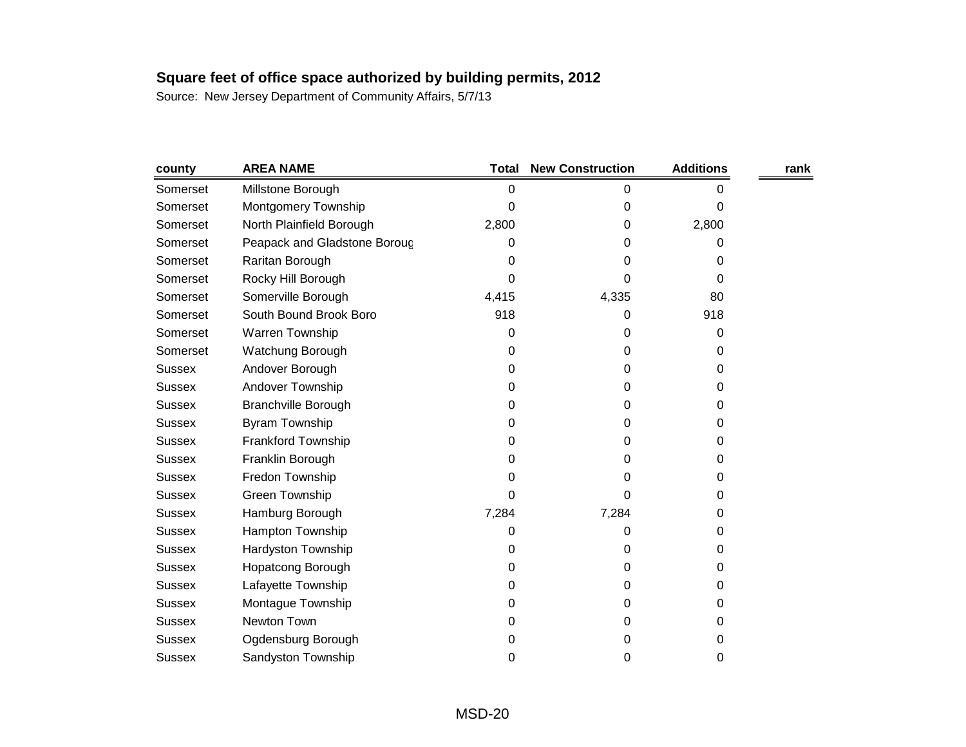| county        | <b>AREA NAME</b>             | <b>Total</b> | <b>New Construction</b> | <b>Additions</b> | rank |
|---------------|------------------------------|--------------|-------------------------|------------------|------|
| Somerset      | Millstone Borough            | 0            | 0                       | 0                |      |
| Somerset      | Montgomery Township          | 0            | 0                       | 0                |      |
| Somerset      | North Plainfield Borough     | 2,800        | 0                       | 2,800            |      |
| Somerset      | Peapack and Gladstone Boroug | 0            | 0                       | 0                |      |
| Somerset      | Raritan Borough              | 0            | 0                       | 0                |      |
| Somerset      | Rocky Hill Borough           | 0            | 0                       | 0                |      |
| Somerset      | Somerville Borough           | 4,415        | 4,335                   | 80               |      |
| Somerset      | South Bound Brook Boro       | 918          | 0                       | 918              |      |
| Somerset      | Warren Township              | 0            | 0                       | 0                |      |
| Somerset      | Watchung Borough             | 0            | 0                       | 0                |      |
| <b>Sussex</b> | Andover Borough              | 0            | 0                       | 0                |      |
| <b>Sussex</b> | Andover Township             | 0            | 0                       | 0                |      |
| <b>Sussex</b> | <b>Branchville Borough</b>   | 0            | 0                       | 0                |      |
| <b>Sussex</b> | <b>Byram Township</b>        | 0            | 0                       | 0                |      |
| <b>Sussex</b> | Frankford Township           | 0            | 0                       | 0                |      |
| <b>Sussex</b> | Franklin Borough             | 0            | 0                       | 0                |      |
| <b>Sussex</b> | Fredon Township              | 0            | 0                       | 0                |      |
| <b>Sussex</b> | Green Township               | 0            | 0                       | 0                |      |
| <b>Sussex</b> | Hamburg Borough              | 7,284        | 7,284                   | 0                |      |
| <b>Sussex</b> | Hampton Township             | 0            | 0                       | 0                |      |
| <b>Sussex</b> | Hardyston Township           | 0            | 0                       | 0                |      |
| <b>Sussex</b> | <b>Hopatcong Borough</b>     | 0            | 0                       | 0                |      |
| <b>Sussex</b> | Lafayette Township           | 0            | 0                       | 0                |      |
| <b>Sussex</b> | Montague Township            | 0            | 0                       | 0                |      |
| <b>Sussex</b> | Newton Town                  | 0            | 0                       | 0                |      |
| <b>Sussex</b> | Ogdensburg Borough           | 0            | 0                       | 0                |      |
| <b>Sussex</b> | Sandyston Township           | 0            | 0                       | 0                |      |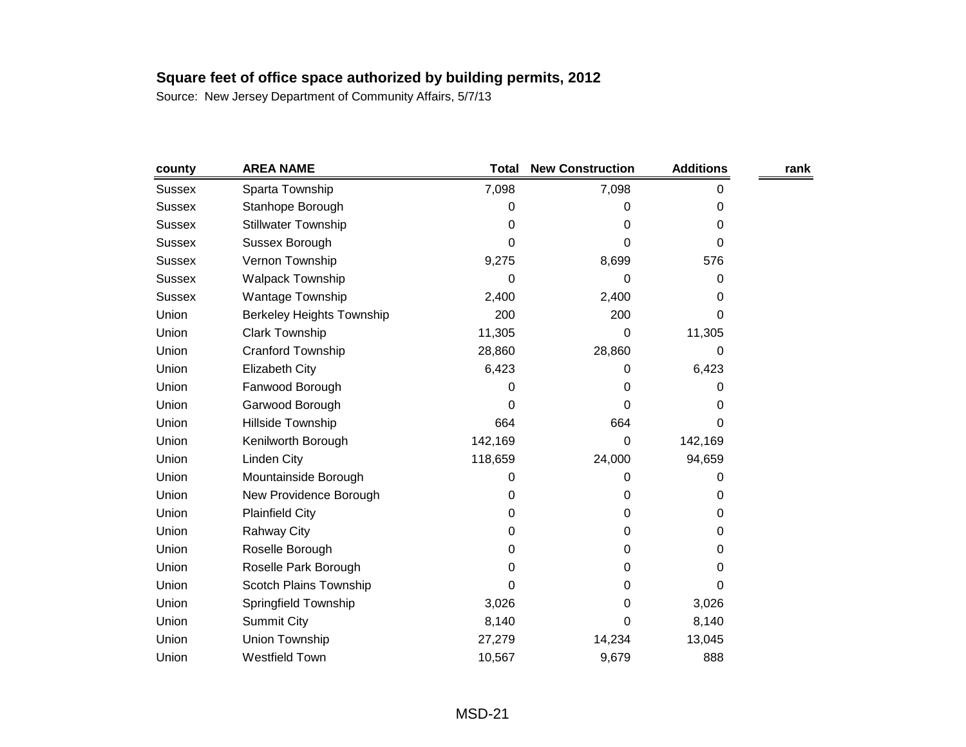| county        | <b>AREA NAME</b>                 | <b>Total</b> | <b>New Construction</b> | <b>Additions</b> | rank |
|---------------|----------------------------------|--------------|-------------------------|------------------|------|
| Sussex        | Sparta Township                  | 7,098        | 7,098                   | 0                |      |
| <b>Sussex</b> | Stanhope Borough                 | 0            | 0                       | 0                |      |
| <b>Sussex</b> | <b>Stillwater Township</b>       | 0            | 0                       | 0                |      |
| <b>Sussex</b> | Sussex Borough                   | 0            | 0                       | 0                |      |
| <b>Sussex</b> | Vernon Township                  | 9,275        | 8,699                   | 576              |      |
| <b>Sussex</b> | <b>Walpack Township</b>          | 0            | 0                       | 0                |      |
| <b>Sussex</b> | Wantage Township                 | 2,400        | 2,400                   | 0                |      |
| Union         | <b>Berkeley Heights Township</b> | 200          | 200                     | 0                |      |
| Union         | <b>Clark Township</b>            | 11,305       | 0                       | 11,305           |      |
| Union         | Cranford Township                | 28,860       | 28,860                  | 0                |      |
| Union         | <b>Elizabeth City</b>            | 6,423        | 0                       | 6,423            |      |
| Union         | Fanwood Borough                  | 0            | 0                       | 0                |      |
| Union         | Garwood Borough                  | 0            | 0                       | 0                |      |
| Union         | Hillside Township                | 664          | 664                     | 0                |      |
| Union         | Kenilworth Borough               | 142,169      | 0                       | 142,169          |      |
| Union         | Linden City                      | 118,659      | 24,000                  | 94,659           |      |
| Union         | Mountainside Borough             | 0            | 0                       | 0                |      |
| Union         | New Providence Borough           | 0            | 0                       | 0                |      |
| Union         | <b>Plainfield City</b>           | 0            | 0                       | 0                |      |
| Union         | <b>Rahway City</b>               | 0            | 0                       | 0                |      |
| Union         | Roselle Borough                  | 0            | 0                       | 0                |      |
| Union         | Roselle Park Borough             | 0            | 0                       | 0                |      |
| Union         | Scotch Plains Township           | 0            | 0                       | 0                |      |
| Union         | Springfield Township             | 3,026        | 0                       | 3,026            |      |
| Union         | <b>Summit City</b>               | 8,140        | 0                       | 8,140            |      |
| Union         | Union Township                   | 27,279       | 14,234                  | 13,045           |      |
| Union         | Westfield Town                   | 10,567       | 9,679                   | 888              |      |